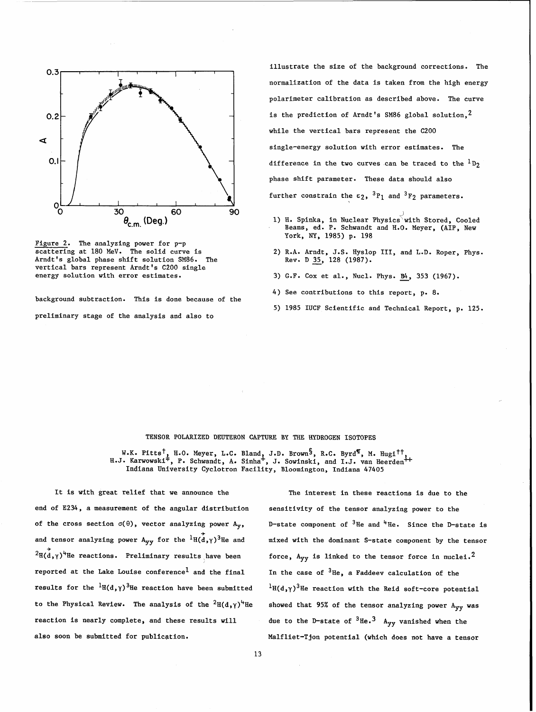



background subtraction. This is done because of the preliminary stage of the analysis and also to

illustrate the size of the background corrections. The normalization of the data is taken from the high energy polarimeter calibration as described above. The curve is the prediction of Arndt's SM86 global solution,  $^2$ while the vertical bars represent the C200 single-energy solution with error estimates. The difference in the two curves can be traced to the  ${}^{1}D_{2}$ phase shift parameter. These data should also further constrain the  $\varepsilon_2$ ,  ${}^3P_1$  and  ${}^3F_2$  parameters.

- 1) H. Spinka, in Nuclear Physics with Stored, Cooled Beams, ed. P. Schwandt and H.O. Meyer, (AIP, New York, **NY,** 1985) p. 198
- 2) R.A. Arndt, J.S. Hyslop 111, and L.D. Roper, Phys. Rev. D 35, 128 (1987).
- 3) G.F. Cox et al., Nucl. Phys. B4, 353 (1967).
- 4) See contributions to this report, p. 8.
- 5) 1985 IUCF Scientific and Technical Report, p. 125.

## TENSOR POLARIZED DEUTERON CAPTURE BY **THE** HYDROGEN ISOTOPES

W.K. Pitts<sup>†</sup>, H.O. Meyer, L.C. Bland, J.D. Brown<sup>§</sup>, R.C. Byrd<sup>¶</sup>, M. Hugi<sup>††</sup>, I.J. Karwowski<sup>#</sup>, P. Schwandt, A. Sinha<sup>+</sup>, J. Sowinski, and I.J. van Heerden<sup>++</sup> Indiana University Cyclotron Facility, Bloomington, Indian

end of E234, a measurement of the angular distribution sensitivity of the tensor analyzing power to the and tensor analyzing power  $A_{yy}$  for the  ${}^{1}H(\dot{d},\gamma)^{3}$ He and  ${}^{2}H(d,\gamma)^{4}$ He reactions. Preliminary results have been reported at the Lake Louise conference<sup>1</sup> and the final In the case of  $3^{4}$ He, a Faddeev calculation of the results for the  ${}^{1}H(d, \gamma)$ <sup>3</sup>He reaction have been submitted  ${}^{1}H(d, \gamma)$ <sup>3</sup>He reaction with the Reid soft-core potential to the Physical Review. The analysis of the  ${}^{2}H(d,\gamma)^{4}$ He showed that 95% of the tensor analyzing power A<sub>yy</sub> was reaction is nearly complete, and these results will  $\mu$  due to the D-state of  ${}^{3}$ He.<sup>3</sup> A<sub>yy</sub> vanished when the

It is with great relief that we announce the The interest in these reactions is due to the of the cross section  $\sigma(\theta)$ , vector analyzing power A<sub>y</sub>, D-state component of <sup>3</sup>He and <sup>4</sup>He. Since the D-state is mixed with the dominant S-state component by the tensor force,  $A_{yy}$  is linked to the tensor force in nuclei.<sup>2</sup> also soon be submitted for publicgtion. Malfliet-Tjon potential (which does not have a tensor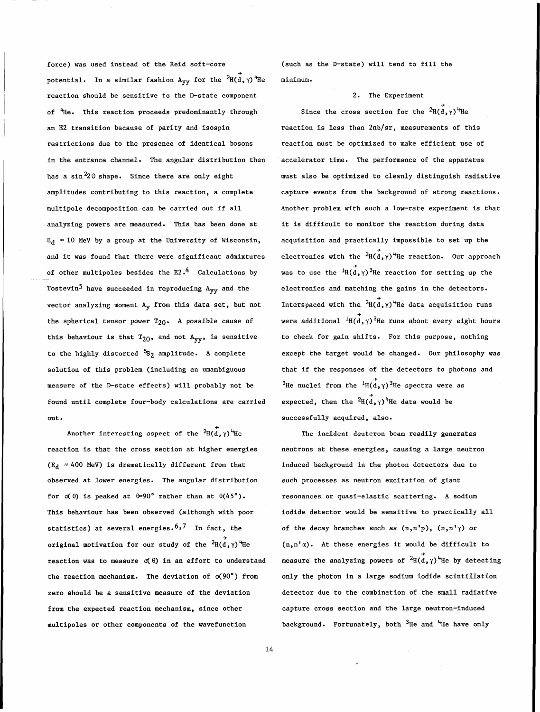force) was used instead of the Reid soft-core potential. In a similar fashion  ${\rm A}_{{\bf y}{\bf y}}$  for the  $^2$ H( ${\rm d}$ , $\gamma)$   $^{\rm th}$ He reaction should be sensitive to the D-state component of <sup>t</sup>He. This reaction proceeds predominantly through an E2 transition because of parity and isospin restrictions due to the presence of identical bosons in the entrance channel. The angular distribution then has a sin<sup>2</sup>2 $\theta$  shape. Since there are only eight amplitudes contributing to this reaction, a complete multipole decomposition can be carried out if all analyzing powers are measured. This has been done at  $E_A \approx 10$  MeV by a group at the University of Wisconsin, and it was found that there were significant admixtures of other multipoles besides the  $E2 \cdot 4$  Calculations by Tostevin<sup>5</sup> have succeeded in reproducing A<sub>yy</sub> and the vector analyzing moment Ay from this data set, but not the spherical tensor power  $T_{20}$ . A possible cause of this behaviour is that  $T_{20}$ , and not  $A_{yy}$ , is sensitive to the highly distorted  $552$  amplitude. A complete solution of this problem (including an umambiguous measure of the D-state effects) will probably not be found until complete four-body calculations are carried out.

Another interesting aspect of the  $2\text{H}(d, \gamma)$ <sup>4</sup>He reaction is that the cross section at higher energies  $(E_d \approx 400 \text{ MeV})$  is dramatically different from that observed at lower energies. The angular distribution for  $\sigma(\theta)$  is peaked at  $\theta=90^\circ$  rather than at  $\theta(45^\circ)$ . This behaviour has been observed (although with poor statistics) at several energies.<sup>6,7</sup> In fact, the + original motivation for our study of the  ${}^2\mathrm{H}(\mathrm{d} \, , \gamma)$  He reaction was to measure  $\sigma(\theta)$  in an effort to understand the reaction mechanism. The deviation of  $\sigma(90^\circ)$  from zero should be a sensitive measure of the deviation from the expected reaction mechanism, since other multipoles or other components of the wavefunction

(such as the D-state) will tend to fill the minimum.

## 2. The Experiment

Since the cross section for the  ${}^{2}H(d,\gamma)$ <sup>4</sup>He reaction is less than 2nb/sr, measurements of this reaction must be optimized to make efficient use of accelerator time. The performance of the apparatus must also be optimized to cleanly distinguish radiative capture events from the background of strong reactions. Another problem with such a low-rate experiment is that it is difficult to monitor the reaction during data acquisition and practically impossible to set up the electronics with the  $2\vec{H}(\vec{d}, \gamma)^4$ He reaction. Our approach was to use the  ${}^{4}H(d,\gamma)^{3}$ He reaction for setting up the electronics and matching the gains in the detectors. Interspaced with the  $2\vec{H}(d,\gamma)^4$ He data acquisition runs were additional  ${}^{\downarrow}H(\vec{d},\gamma){}^3$ He runs about every eight hours to check for gain shifts. For this purpose, nothing except the target would be changed. Our philosophy was that if the responses of the detectors to photons and <sup>3</sup>He nuclei from the <sup>1</sup>H(d,  $\gamma$ )<sup>3</sup>He spectra were as expected, then the  $2H(\vec{d}, \gamma)^4$ He data would be successfully acquired, also.

The incident deuteron beam readily generates neutrons at these energies, causing a large neutron induced background in the photon detectors due to such processes as neutron excitation of giant resonances or quasi-elastic scattering. A sodium iodide detector would be sensitive to practically all of the decay branches such as  $(n,n'p)$ ,  $(n,n' \gamma)$  or  $(n, n^{\dagger}\alpha)$ . At these energies it would be difficult to measure the analyzing powers of  $2\vec{a}(\vec{d},\gamma)^4$ He by detecting only the photon in a large sodium iodide scintillation detector due to the combination of the small radiative capture cross section and the large neutron-induced background. Fortunately, both <sup>3</sup>He and <sup>4</sup>He have only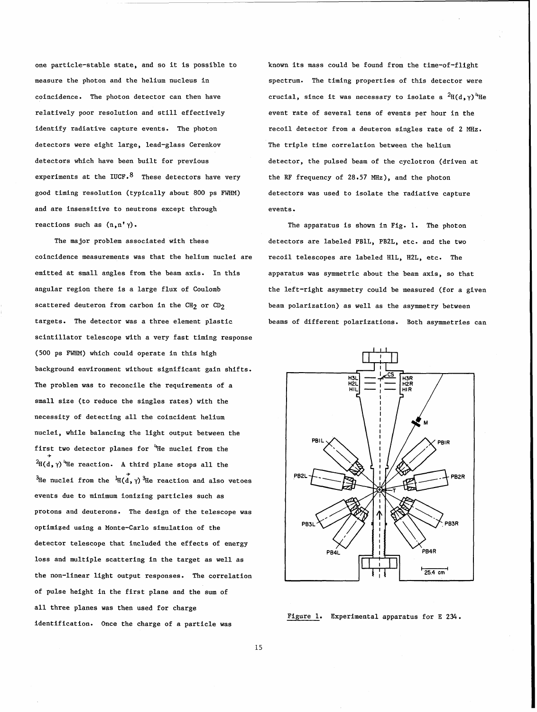one particle-stable state, and so it is possible to measure the photon and the helium nucleus in coincidence. The photon detector can then have relatively poor resolution and still effectively identify radiative capture events. The photon detectors were eight large, lead-glass Cerenkov detectors which have been built for previous experiments at the IUCF.<sup>8</sup> These detectors have very good timing resolution (typically about 800 ps FWHM) and are insensitive to neutrons except through reactions such as  $(n, n' \gamma)$ .

The major problem associated with these coincidence measurements was that the helium nuclei are emitted at small angles from the beam axis. In this angular region there is a large flux of Coulomb scattered deuteron from carbon in the  $CH<sub>2</sub>$  or  $CD<sub>2</sub>$ targets. The detector was a three element plastic scintillator telescope with a very fast timing response (500 ps **FWHM)** which could operate in this high background environment without significant gain shifts. The problem was to reconcile the requirements of a small size (to reduce the singles rates) with the necessity of detecting all the coincident helium nuclei, while balancing the light output between the first two detector planes for  $H$ He nuclei from the  $\blacktriangleright$  ${}^{2}H(d, \gamma)$ <sup>4</sup>He reaction. A third plane stops all the  $\stackrel{\rightarrow}{\mathbb{H}}$ e nuclei from the  $\stackrel{\rightarrow}{\mathbb{H}}(\stackrel{\rightarrow}{\mathbf{d}},\gamma)$ <sup>3</sup>He reaction and also vetoes events due to minimum ionizing particles such as protons and deuterons. The design of the telescope was optimiqed using a Monte-Carlo simulation of the detector telescope that included the effects of energy loss and multiple scattering in the target as well as the non-linear light output responses. The correlation of pulse height in the first plane and the sum of all three planes was then used for charge identification. Once the charge of a particle was

known its mass could be found from the time-of-flight spectrum. The timing properties of this detector were crucial, since it was necessary to isolate a  ${}^{2}H(d,\gamma)$ <sup>4</sup>He event rate of several tens of events per hour in the recoil detector from a deuteron singles rate of 2 MHz. The triple time correlation between the helium detector, the pulsed beam of the cyclotron (driven at the **RF** frequency of 28.57 MHz), and the photon detectors was used to isolate the radiative capture events .

The apparatus is shown in Fig. 1. The photon detectors are labeled PBlL, PB2L, etc. and the two recoil telescopes are labeled HlL, H2L, etc. The apparatus was symmetric about the beam axis, so that the left-right asymmetry could be measured (for a given beam polarization) as well as the asymmetry between beams of different polarizations. Both asymmetries can



Figure 1. Experimental apparatus for E 234.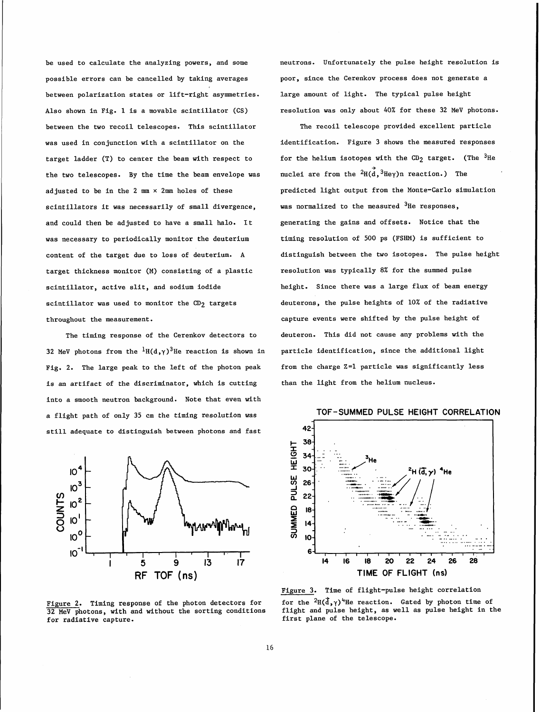possible errors can be cancelled by taking averages poor, since the Cerenkov process does not generate a between polarization states or lift-right asymmetries. large amount of light. The typical pulse height between the two recoil telescopes. This scintillator The recoil telescope provided excellent particle the two telescopes. By the time the beam envelope was muclei are from the  ${}^{2}H(\vec{d},{}^{3}He\gamma)$ n reaction.) The scintillators it was necessarily of small divergence, was normalized to the measured  $3He$  responses, and could then be adjusted to have a small halo. It generating the gains and offsets. Notice that the was necessary to periodically monitor the deuterium timing resolution of 500 ps (FSHM) is sufficient to target thickness monitor (M) consisting of a plastic resolution was typically 8% for the summed pulse scintillator, active slit, and sodium iodide height. Since there was a large flux of beam energy scintillator was used to monitor the  $CD_2$  targets deuterons, the pulse heights of 10% of the radiative throughout the measurement. capture events were shifted by the pulse height of

32 MeV photons from the  ${}^{1}H(d,\gamma){}^{3}He$  reaction is shown in particle identification, since the additional light Fig. 2. The large peak to the left of the photon peak from the charge Z=1 particle was significantly less is an artifact of the discriminator, which is cutting than the light from the helium nucleus. into a smooth neutron background. Note that even with a flight path of only 35 cm the timing resolution was still adequate to distinguish between photons and fast



 $32$  MeV photons, with and without the sorting conditions for radiative capture.

be used to calculate the analyzing powers, and some neutrons. Unfortunately the pulse height resolution is Also shown in Fig. 1 is a movable scintillator (CS) resolution was only about 40% for these 32 MeV photons.

was used in conjunction with a scintillator on the identification. Figure 3 shows the measured responses target ladder (T) to center the beam with respect to for the helium isotopes with the CD<sub>2</sub> target. (The <sup>3</sup>He adjusted to be in the 2 **mm x** 2mm holes of these predicted light output from the Monte-Carlo simulation content of the target due to loss of deuterium. A distinguish between the two isotopes. The pulse height The timing response of the Cerenkov detectors to deuteron. This did not cause any problems with the



Figure 3. Time of flight-pulse height correlation <u>Figure 2</u>. Timing response of the photon detectors for for the <sup>2</sup>H(d,  $\gamma$ )<sup>4</sup>He reaction. Gated by photon time of<br>32 MeV photons, with and without the sorting conditions flight and pulse height, as well as pulse height first plane of the telescope.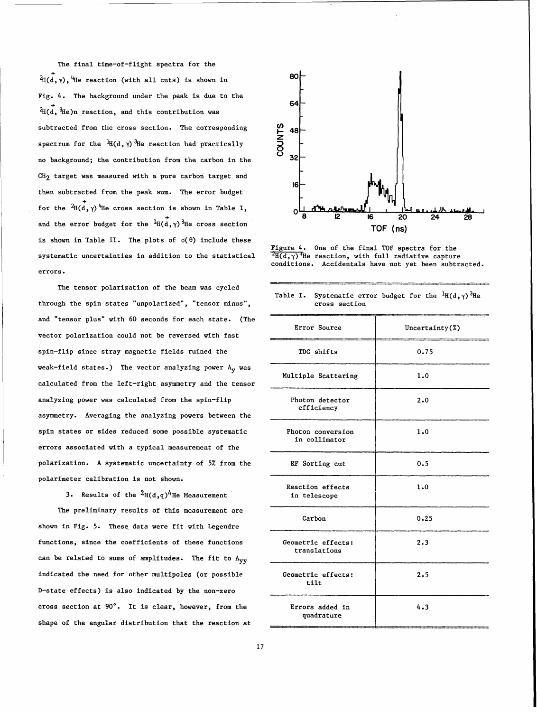

Figure 4. One of the final TOF spectra for the

| Table I. Systematic error budget for the ${}^{1}H(d,\gamma)$ <sup>3</sup> He |
|------------------------------------------------------------------------------|
| cross section                                                                |

| The final time-of-flight spectra for the<br>80├<br>$\overrightarrow{A}$ I $(d, \gamma)$ , the reaction (with all cuts) is shown in<br>Fig. 4. The background under the peak is due to the<br>-64 F                                                                                                                                                                                                                                                                                                                                                                                                                                                                                                                                                                                                                                                                                                  |  |
|-----------------------------------------------------------------------------------------------------------------------------------------------------------------------------------------------------------------------------------------------------------------------------------------------------------------------------------------------------------------------------------------------------------------------------------------------------------------------------------------------------------------------------------------------------------------------------------------------------------------------------------------------------------------------------------------------------------------------------------------------------------------------------------------------------------------------------------------------------------------------------------------------------|--|
| $\overrightarrow{A}$ (d, $\overrightarrow{B}$ He)n reaction, and this contribution was<br>STMUS<br>OUNTS<br><sub>32</sub><br>subtracted from the cross section. The corresponding<br>spectrum for the ${}^1\!\!\text{H}(\text{d},\gamma) \, {}^3\!\!\text{He}$ reaction had practically<br>no background; the contribution from the carbon in the<br>$CH_2$ target was measured with a pure carbon target and<br>then subtracted from the peak sum. The error budget<br>for the $\overrightarrow{A}(\overrightarrow{d}, \gamma)$ the cross section is shown in Table I,<br>oll d'in agromati i<br>كأكا القراء وماكنه فاستكاف والمستحيل<br>20<br>24<br>- 16<br>and the error budget for the ${}^1\!\!\!\!\!H(\vec d,\gamma)\, {}^3\!\!\!\!\!H$ e cross section<br>TOF (ns)                                                                                                                           |  |
| is shown in Table II. The plots of $\sigma(\theta)$ include these<br>Figure 4. One of the final TOF spectra for the<br>$\frac{2\pi}{d}(\frac{d}{d},\gamma)$ <sup>T</sup> He reaction, with full radiative capture<br>conditions. Accidentals have not yet been subtracted.<br>systematic uncertainties in addition to the statistical<br>errors.<br>The tensor polarization of the beam was cycled<br>Table I. Systematic error budget for the ${}^{1}H(d,\gamma)$ <sup>3</sup> He<br>through the spin states "unpolarized", "tensor minus",<br>cross section<br>ti politika politi se s koslib se slovený starový politiky (starový starový starový starový starový s<br>and "tensor plus" with 60 seconds for each state. (The<br>Error Source<br>Uncertainty(%)<br>vector polarization could not be reversed with fast<br>spin-flip since stray magnetic fields ruined the<br>TDC shifts<br>0.75 |  |
| weak-field states.) The vector analyzing power ${\rm A_y}$ was<br>Multiple Scattering<br>1.0<br>calculated from the left-right asymmetry and the tensor<br>analyzing power was calculated from the spin-flip<br>2.0<br>Photon detector<br>efficiency<br>asymmetry. Averaging the analyzing powers between the<br>spin states or sides reduced some possible systematic<br>1.0<br>Photon conversion<br>in collimator<br>errors associated with a typical measurement of the<br>polarization. A systematic uncertainty of 5% from the<br>RF Sorting cut<br>0.5<br>polarimeter calibration is not shown.<br>1.0<br>Reaction effects                                                                                                                                                                                                                                                                    |  |
| 3. Results of the ${}^{2}H(d,q)^{4}$ He Measurement<br>in telescope<br>The preliminary results of this measurement are<br>Carbon<br>0.25<br>shown in Fig. 5. These data were fit with Legendre<br>2.3<br>functions, since the coefficients of these functions<br>Geometric effects:<br>translations<br>can be related to sums of amplitudes. The fit to A <sub>yy</sub><br>indicated the need for other multipoles (or possible<br>2.5<br>Geometric effects:<br>tilt<br>D-state effects) is also indicated by the non-zero<br>cross section at 90°. It is clear, however, from the<br>Errors added in<br>4.3<br>quadrature                                                                                                                                                                                                                                                                          |  |
| shape of the angular distribution that the reaction at<br>17                                                                                                                                                                                                                                                                                                                                                                                                                                                                                                                                                                                                                                                                                                                                                                                                                                        |  |
|                                                                                                                                                                                                                                                                                                                                                                                                                                                                                                                                                                                                                                                                                                                                                                                                                                                                                                     |  |
|                                                                                                                                                                                                                                                                                                                                                                                                                                                                                                                                                                                                                                                                                                                                                                                                                                                                                                     |  |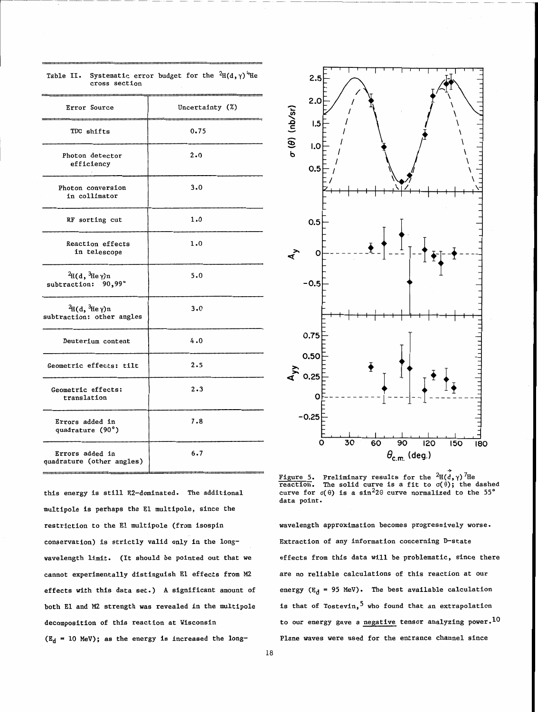| Error Source                                                       | Uncertainty (%) |
|--------------------------------------------------------------------|-----------------|
| TDC shifts                                                         | 0.75            |
| Photon detector<br>efficiency                                      | 2.0             |
| Photon conversion<br>in collimator                                 | 3.0             |
| RF sorting cut                                                     | 1.0             |
| Reaction effects<br>in telescope                                   | 1.0             |
| ${}^{2}$ H(d, ${}^{3}$ He $\gamma$ )n<br>subtraction: 90,99°       | 5.0             |
| ${}^{2}$ H(d, ${}^{3}$ He $\gamma$ )n<br>subtraction: other angles | 3.0             |
| Deuterium content                                                  | 4.0             |
| Geometric effects: tilt                                            | 2.5             |
| Geometric effects:<br>translation                                  | 2.3             |
| Errors added in<br>quadrature (90°)                                | 7.8             |
| Errors added in<br>quadrature (other angles)                       | 6.7             |

Table II. Systematic error budget for the  ${}^{2}H(d,\gamma)$ <sup>4</sup>He cross section

this energy is still E2-dominated. The additional multipole is perhaps the El multipole, since the restriction to the El multipole (from isospin wavelength approximation becomes progressively worse. conservation) is strictly valid only in the long- Extraction of any information concerning D-state wavelength limit. (It should be pointed out that we cannot experimentally distinguish El effects from *M2*  effects with this data set.) A significant amount of both El and *M2* strength was revealed in the multipole decomposition of this reaction at Wisconsin

 $(E_d = 10$  MeV); as the energy is increased the long-



Figure 5. Preliminary results for the  $^2$ H(d,  $\gamma$ )<sup>7</sup>He Figure 5. Preliminary results for the  ${}^{2}H(d,\gamma)$ <sup>7</sup>He reaction. The solid curve is a fit to  $\sigma(\theta)$ ; the dashed curve for  $\sigma(\theta)$  is a sin<sup>2</sup>20 curve normalized to the 55<sup>°</sup> data point.

effects from this data will be problematic, since there are no reliable calculations of this reaction at our energy ( $E_d$  = 95 MeV). The best available calculation is that of Tostevin,<sup>5</sup> who found that an extrapolation to our energy gave a negative tensor analyzing power.<sup>10</sup> Plane waves were used for the entrance channel since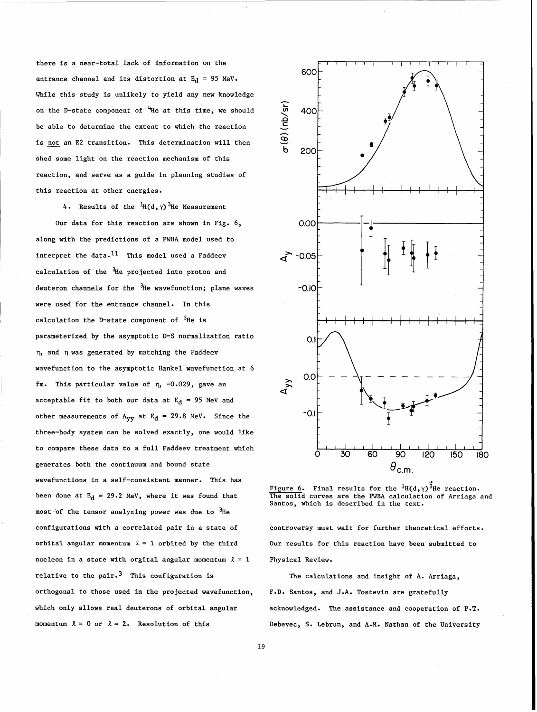there is a near-total lack of information on the entrance channel and its distortion at  $E_d = 95$  MeV. While this study is unlikely to yield any new knowledge on the D-state component of  $H$ He at this time, we should be able to determine the extent to which the reaction is not an E2 transition. This determination will then shed some light on the reaction mechanism of this reaction, and serve as a guide in planning studies of this reaction at other energies.

4. Results of the  ${}^{1}H(d, \gamma)$ <sup>3</sup>He Measurement

Our data for this reaction are shown in Fig. 6, along with the predictions of a PWBA model used to interpret the data.<sup>11</sup> This model used a Faddeev calculation of the  $3$ He projected into proton and deuteron channels for the  $3H$ e wavefunction; plane waves were used for the entrance channel. In this calculation the D-state component of  $3H$ e is parameterized by the asymptotic D-S normalization ratio r), and r) was generated by matching the Faddeev wavefunction to the asymptotic Hankel wavefunction at 6 fm. This particular value of  $\eta$ , -0.029, gave an acceptable fit to both our data at  $E_d$  = 95 MeV and other measurements of  $A_{yy}$  at  $E_d = 29.8$  MeV. Since the three-body system can be solved exactly, one would like to compare these data to a full Faddeev treatment which generates both the continuum and bound state wavefunctions in a self-consistent manner. This has been done at  $E_d = 29.2$  MeV, where it was found that most of the tensor analyzing power was due to  $^{3}$ He configurations with a correlated pair in a state of orbital angular momentum  $\lambda = 1$  orbited by the third nucleon in a state with orgital angular momentum  $l = 1$ relative to the pair.<sup>3</sup> This configuration is orthogonal to those used in the projected wavefunction, which only allows real deuterons of orbital angular momentum  $\lambda = 0$  or  $\lambda = 2$ . Resolution of this



Figure 6. Final results for the  ${}^1\text{H}(\text{d},\gamma) \, {}^3\text{He}$  reaction. The solid curves are the PWBA calculation of Arriaga and Santos, which is described in the text.

controversy must wait for further theoretical efforts. Our results for this reaction have been submitted to Physical Review.

The calculations and insight of A. Arriaga, F.D. Santos, and **J.A.** Tostevin are gratefully acknowledged. The assistance and cooperation of P.T. Debevec, S. Lebrun, and A.M. Nathan of the University